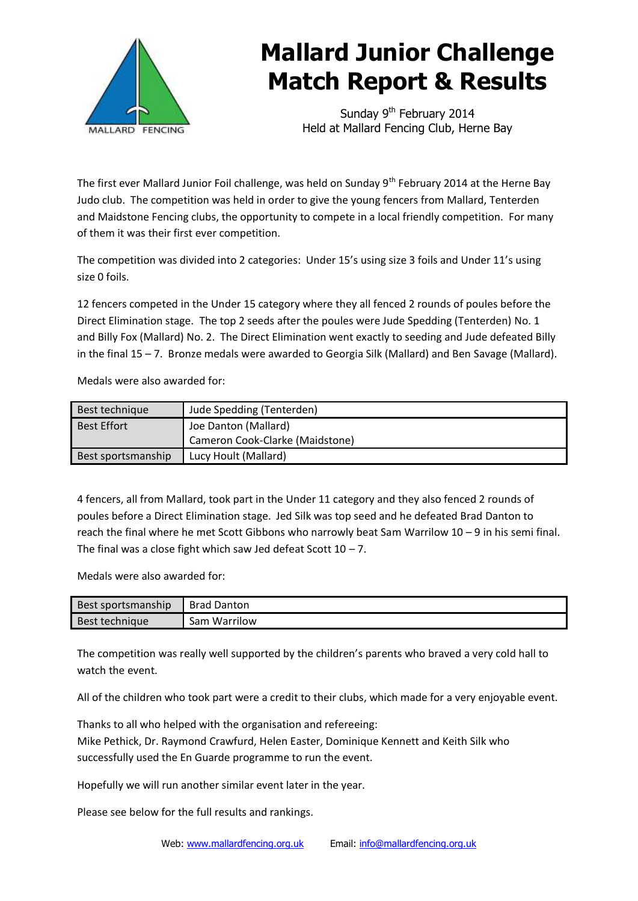

## **Mallard Junior Challenge Match Report & Results**

Sunday 9<sup>th</sup> February 2014 Held at Mallard Fencing Club, Herne Bay

The first ever Mallard Junior Foil challenge, was held on Sunday 9<sup>th</sup> February 2014 at the Herne Bay Judo club. The competition was held in order to give the young fencers from Mallard, Tenterden and Maidstone Fencing clubs, the opportunity to compete in a local friendly competition. For many of them it was their first ever competition.

The competition was divided into 2 categories: Under 15's using size 3 foils and Under 11's using size 0 foils.

12 fencers competed in the Under 15 category where they all fenced 2 rounds of poules before the Direct Elimination stage. The top 2 seeds after the poules were Jude Spedding (Tenterden) No. 1 and Billy Fox (Mallard) No. 2. The Direct Elimination went exactly to seeding and Jude defeated Billy in the final 15 – 7. Bronze medals were awarded to Georgia Silk (Mallard) and Ben Savage (Mallard).

Medals were also awarded for:

| Best technique     | Jude Spedding (Tenterden)       |  |  |
|--------------------|---------------------------------|--|--|
| <b>Best Effort</b> | Joe Danton (Mallard)            |  |  |
|                    | Cameron Cook-Clarke (Maidstone) |  |  |
| Best sportsmanship | Lucy Hoult (Mallard)            |  |  |

4 fencers, all from Mallard, took part in the Under 11 category and they also fenced 2 rounds of poules before a Direct Elimination stage. Jed Silk was top seed and he defeated Brad Danton to reach the final where he met Scott Gibbons who narrowly beat Sam Warrilow 10 – 9 in his semi final. The final was a close fight which saw Jed defeat Scott  $10 - 7$ .

Medals were also awarded for:

| Best sportsmanship | <b>Brad Danton</b> |
|--------------------|--------------------|
| Best technique     | Sam Warrilow       |

The competition was really well supported by the children's parents who braved a very cold hall to watch the event.

All of the children who took part were a credit to their clubs, which made for a very enjoyable event.

Thanks to all who helped with the organisation and refereeing: Mike Pethick, Dr. Raymond Crawfurd, Helen Easter, Dominique Kennett and Keith Silk who successfully used the En Guarde programme to run the event.

Hopefully we will run another similar event later in the year.

Please see below for the full results and rankings.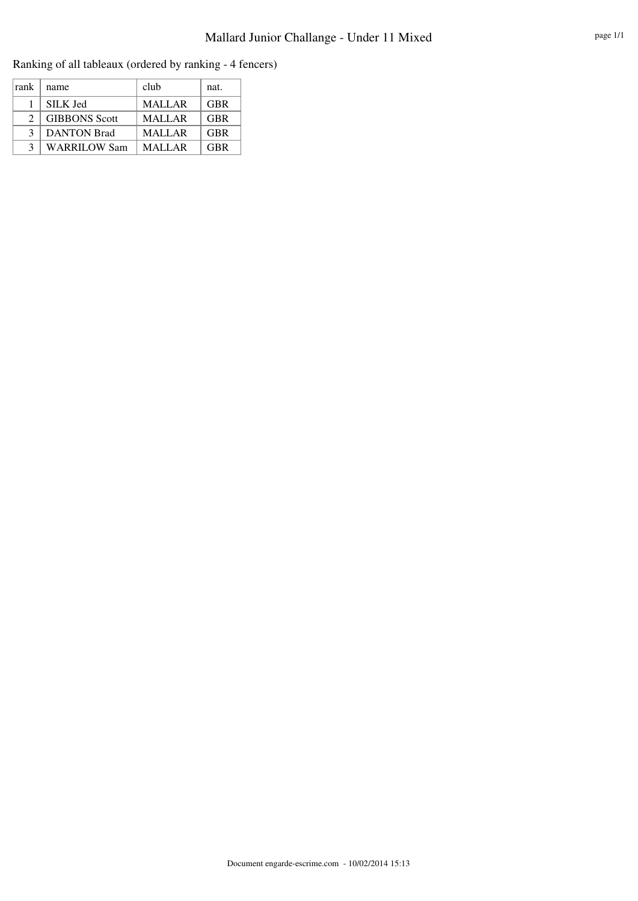| rank | name | club | nat. 1 SILK Jed MALLAR GBR 2 GIBBONS Scott | MALLAR | GBR 3 DANTON Brad | MALLAR | GBR 3 WARRILOW Sam | MALLAR | GBR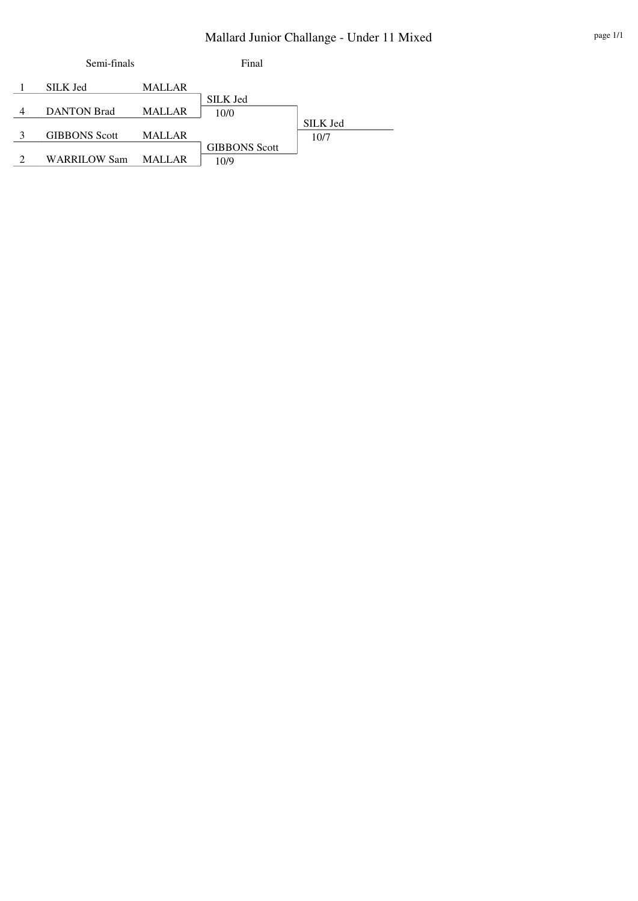## Mallard Junior Challange - Under 11 Mixed page 1/1

| Semi-finals |                      |               | Final                |                 |
|-------------|----------------------|---------------|----------------------|-----------------|
|             | SILK Jed             | MALLAR        |                      |                 |
|             |                      |               | SILK Jed             |                 |
|             | <b>DANTON</b> Brad   | <b>MALLAR</b> | 10/0                 |                 |
|             |                      |               |                      | <b>SILK Jed</b> |
|             | <b>GIBBONS</b> Scott | <b>MALLAR</b> |                      | 10/7            |
|             |                      |               | <b>GIBBONS</b> Scott |                 |
|             | <b>WARRILOW Sam</b>  | <b>MALLAR</b> | 10/9                 |                 |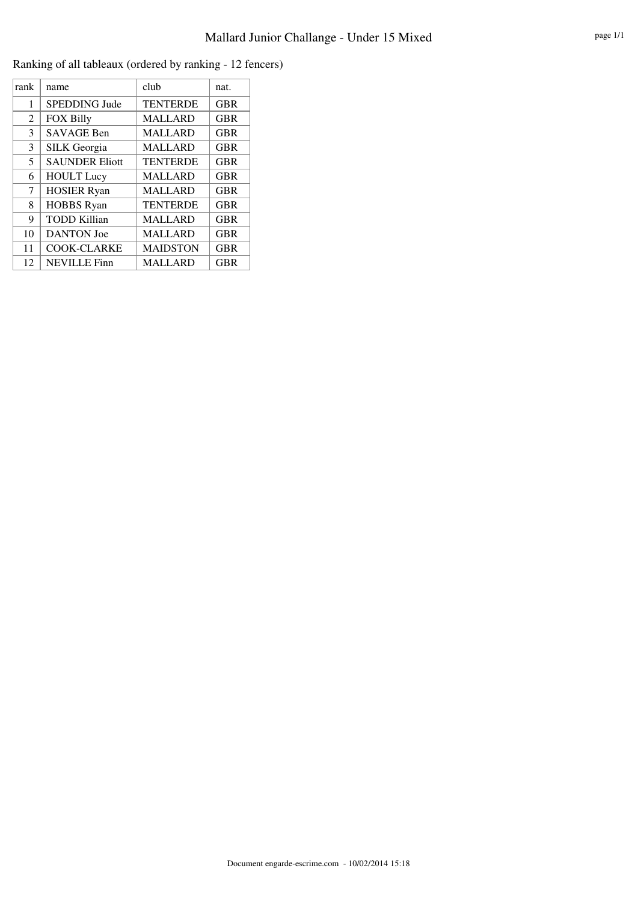| rank | name                  | club            | nat.       |
|------|-----------------------|-----------------|------------|
| 1    | <b>SPEDDING Jude</b>  | <b>TENTERDE</b> | <b>GBR</b> |
| 2    | <b>FOX Billy</b>      | <b>MALLARD</b>  | <b>GBR</b> |
| 3    | <b>SAVAGE Ben</b>     | <b>MALLARD</b>  | <b>GBR</b> |
| 3    | <b>SILK Georgia</b>   | <b>MALLARD</b>  | <b>GBR</b> |
| 5    | <b>SAUNDER Eliott</b> | <b>TENTERDE</b> | <b>GBR</b> |
| 6    | <b>HOULT</b> Lucy     | <b>MALLARD</b>  | <b>GBR</b> |
| 7    | <b>HOSIER Ryan</b>    | <b>MALLARD</b>  | <b>GBR</b> |
| 8    | <b>HOBBS</b> Ryan     | <b>TENTERDE</b> | <b>GBR</b> |
| 9    | <b>TODD Killian</b>   | <b>MALLARD</b>  | <b>GBR</b> |
| 10   | <b>DANTON</b> Joe     | <b>MALLARD</b>  | <b>GBR</b> |
| 11   | <b>COOK-CLARKE</b>    | <b>MAIDSTON</b> | <b>GBR</b> |
| 12   | <b>NEVILLE Finn</b>   | <b>MALLARD</b>  | <b>GBR</b> |

Ranking of all tableaux (ordered by ranking - 12 fencers)